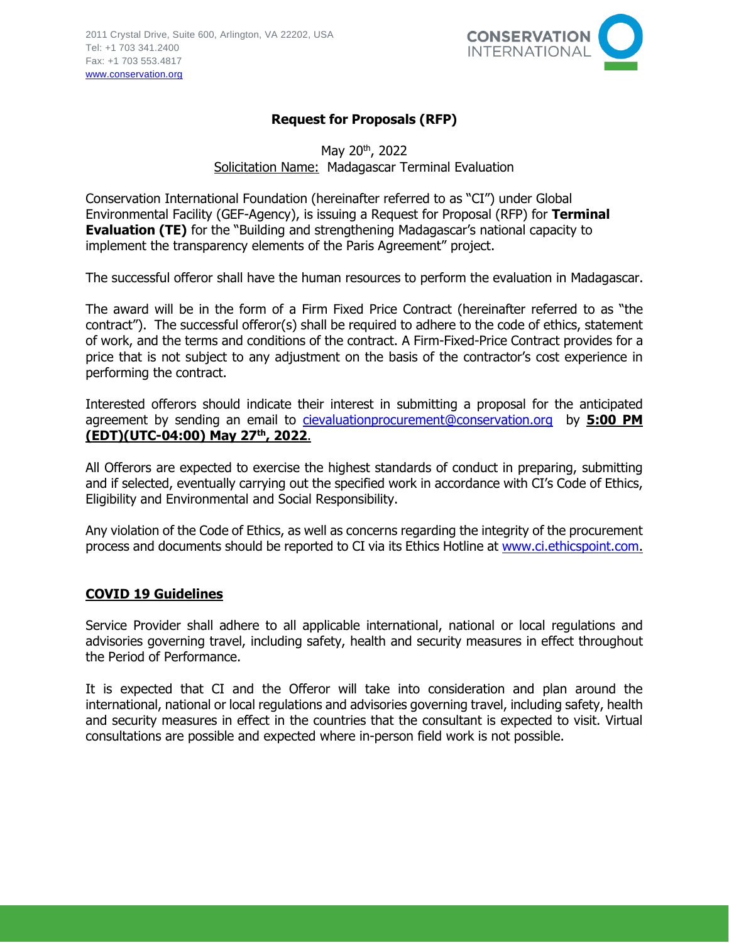

## **Request for Proposals (RFP)**

May 20th, 2022 Solicitation Name: Madagascar Terminal Evaluation

Conservation International Foundation (hereinafter referred to as "CI") under Global Environmental Facility (GEF-Agency), is issuing a Request for Proposal (RFP) for **Terminal Evaluation (TE)** for the "Building and strengthening Madagascar's national capacity to implement the transparency elements of the Paris Agreement" project.

The successful offeror shall have the human resources to perform the evaluation in Madagascar.

The award will be in the form of a Firm Fixed Price Contract (hereinafter referred to as "the contract"). The successful offeror(s) shall be required to adhere to the code of ethics, statement of work, and the terms and conditions of the contract. A Firm-Fixed-Price Contract provides for a price that is not subject to any adjustment on the basis of the contractor's cost experience in performing the contract.

Interested offerors should indicate their interest in submitting a proposal for the anticipated agreement by sending an email to [cievaluationprocurement@conservation.org](mailto:cievaluationprocurement@conservation.org) by **5:00 PM (EDT)(UTC-04:00) May 27th, 2022**.

All Offerors are expected to exercise the highest standards of conduct in preparing, submitting and if selected, eventually carrying out the specified work in accordance with CI's Code of Ethics, Eligibility and Environmental and Social Responsibility.

Any violation of the Code of Ethics, as well as concerns regarding the integrity of the procurement process and documents should be reported to CI via its Ethics Hotline at [www.ci.ethicspoint.com.](http://www.ci.ethicspoint.com/)

#### **COVID 19 Guidelines**

Service Provider shall adhere to all applicable international, national or local regulations and advisories governing travel, including safety, health and security measures in effect throughout the Period of Performance.

It is expected that CI and the Offeror will take into consideration and plan around the international, national or local regulations and advisories governing travel, including safety, health and security measures in effect in the countries that the consultant is expected to visit. Virtual consultations are possible and expected where in-person field work is not possible.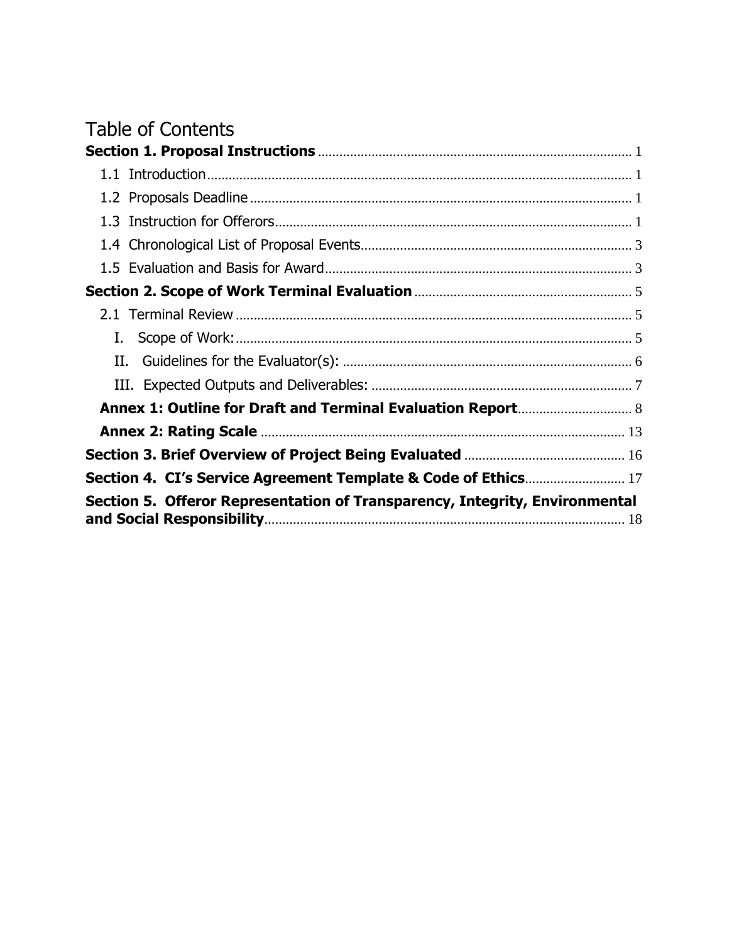# **Table of Contents**

| Section 4. CI's Service Agreement Template & Code of Ethics 17              |  |
|-----------------------------------------------------------------------------|--|
| Section 5. Offeror Representation of Transparency, Integrity, Environmental |  |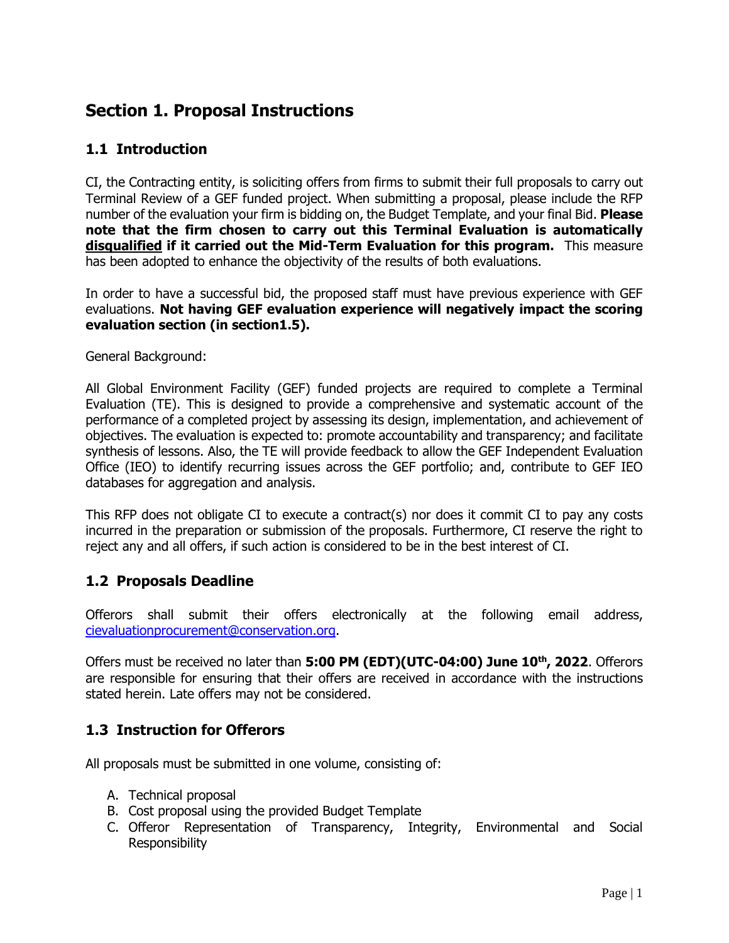## <span id="page-2-0"></span>**Section 1. Proposal Instructions**

## <span id="page-2-1"></span>**1.1 Introduction**

CI, the Contracting entity, is soliciting offers from firms to submit their full proposals to carry out Terminal Review of a GEF funded project. When submitting a proposal, please include the RFP number of the evaluation your firm is bidding on, the Budget Template, and your final Bid. **Please note that the firm chosen to carry out this Terminal Evaluation is automatically disqualified if it carried out the Mid-Term Evaluation for this program.** This measure has been adopted to enhance the objectivity of the results of both evaluations.

In order to have a successful bid, the proposed staff must have previous experience with GEF evaluations. **Not having GEF evaluation experience will negatively impact the scoring evaluation section (in section1.5).**

General Background:

All Global Environment Facility (GEF) funded projects are required to complete a Terminal Evaluation (TE). This is designed to provide a comprehensive and systematic account of the performance of a completed project by assessing its design, implementation, and achievement of objectives. The evaluation is expected to: promote accountability and transparency; and facilitate synthesis of lessons. Also, the TE will provide feedback to allow the GEF Independent Evaluation Office (IEO) to identify recurring issues across the GEF portfolio; and, contribute to GEF IEO databases for aggregation and analysis.

This RFP does not obligate CI to execute a contract(s) nor does it commit CI to pay any costs incurred in the preparation or submission of the proposals. Furthermore, CI reserve the right to reject any and all offers, if such action is considered to be in the best interest of CI.

## <span id="page-2-2"></span>**1.2 Proposals Deadline**

Offerors shall submit their offers electronically at the following email address, [cievaluationprocurement@conservation.org.](mailto:cievaluationprocurement@conservation.org)

Offers must be received no later than **5:00 PM (EDT)(UTC-04:00) June 10th, 2022**. Offerors are responsible for ensuring that their offers are received in accordance with the instructions stated herein. Late offers may not be considered.

## <span id="page-2-3"></span>**1.3 Instruction for Offerors**

All proposals must be submitted in one volume, consisting of:

- A. Technical proposal
- B. Cost proposal using the provided Budget Template
- C. Offeror Representation of Transparency, Integrity, Environmental and Social Responsibility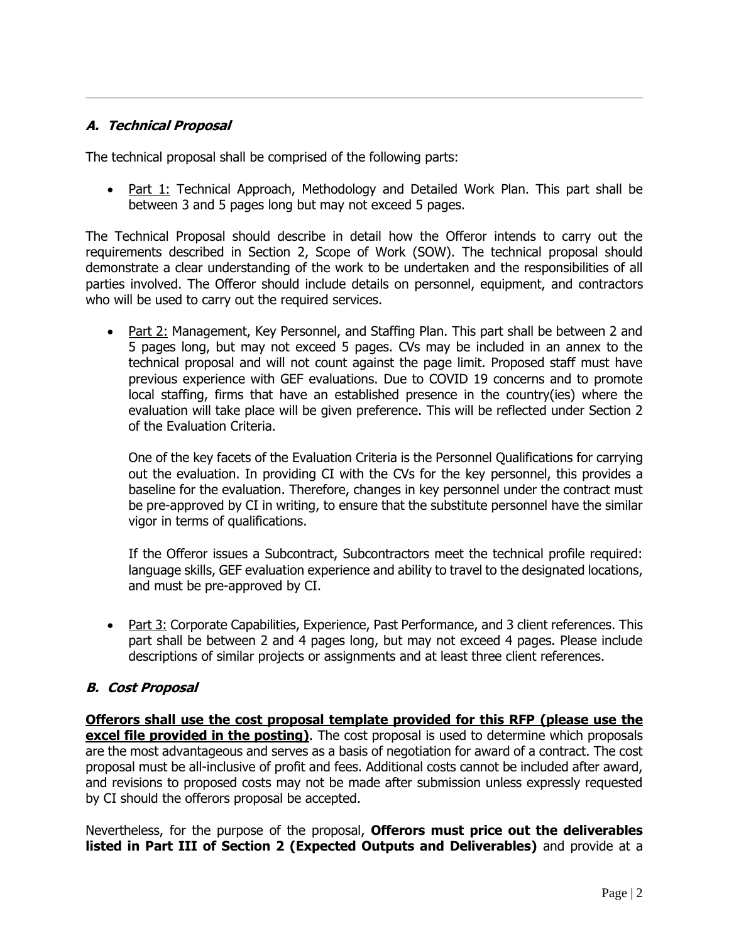#### **A. Technical Proposal**

The technical proposal shall be comprised of the following parts:

• Part 1: Technical Approach, Methodology and Detailed Work Plan. This part shall be between 3 and 5 pages long but may not exceed 5 pages.

The Technical Proposal should describe in detail how the Offeror intends to carry out the requirements described in Section 2, Scope of Work (SOW). The technical proposal should demonstrate a clear understanding of the work to be undertaken and the responsibilities of all parties involved. The Offeror should include details on personnel, equipment, and contractors who will be used to carry out the required services.

• Part 2: Management, Key Personnel, and Staffing Plan. This part shall be between 2 and 5 pages long, but may not exceed 5 pages. CVs may be included in an annex to the technical proposal and will not count against the page limit. Proposed staff must have previous experience with GEF evaluations. Due to COVID 19 concerns and to promote local staffing, firms that have an established presence in the country(ies) where the evaluation will take place will be given preference. This will be reflected under Section 2 of the Evaluation Criteria.

One of the key facets of the Evaluation Criteria is the Personnel Qualifications for carrying out the evaluation. In providing CI with the CVs for the key personnel, this provides a baseline for the evaluation. Therefore, changes in key personnel under the contract must be pre-approved by CI in writing, to ensure that the substitute personnel have the similar vigor in terms of qualifications.

If the Offeror issues a Subcontract, Subcontractors meet the technical profile required: language skills, GEF evaluation experience and ability to travel to the designated locations, and must be pre-approved by CI.

• Part 3: Corporate Capabilities, Experience, Past Performance, and 3 client references. This part shall be between 2 and 4 pages long, but may not exceed 4 pages. Please include descriptions of similar projects or assignments and at least three client references.

#### **B. Cost Proposal**

**Offerors shall use the cost proposal template provided for this RFP (please use the excel file provided in the posting)**. The cost proposal is used to determine which proposals are the most advantageous and serves as a basis of negotiation for award of a contract. The cost proposal must be all-inclusive of profit and fees. Additional costs cannot be included after award, and revisions to proposed costs may not be made after submission unless expressly requested by CI should the offerors proposal be accepted.

Nevertheless, for the purpose of the proposal, **Offerors must price out the deliverables listed in Part III of Section 2 (Expected Outputs and Deliverables)** and provide at a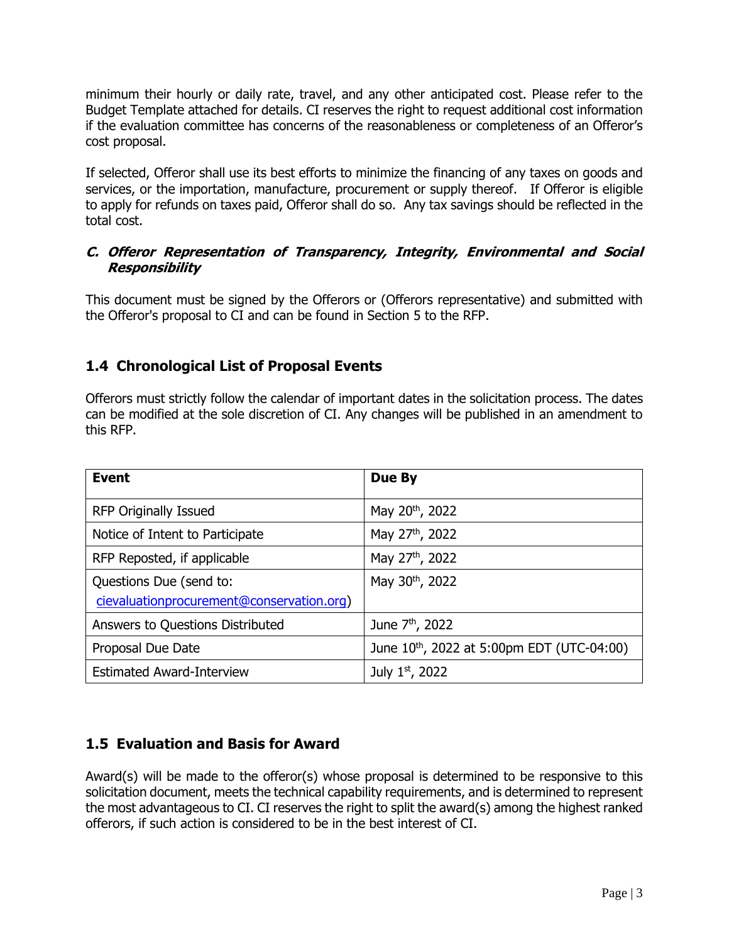minimum their hourly or daily rate, travel, and any other anticipated cost. Please refer to the Budget Template attached for details. CI reserves the right to request additional cost information if the evaluation committee has concerns of the reasonableness or completeness of an Offeror's cost proposal.

If selected, Offeror shall use its best efforts to minimize the financing of any taxes on goods and services, or the importation, manufacture, procurement or supply thereof. If Offeror is eligible to apply for refunds on taxes paid, Offeror shall do so. Any tax savings should be reflected in the total cost.

#### **C. Offeror Representation of Transparency, Integrity, Environmental and Social Responsibility**

This document must be signed by the Offerors or (Offerors representative) and submitted with the Offeror's proposal to CI and can be found in Section 5 to the RFP.

## <span id="page-4-0"></span>**1.4 Chronological List of Proposal Events**

Offerors must strictly follow the calendar of important dates in the solicitation process. The dates can be modified at the sole discretion of CI. Any changes will be published in an amendment to this RFP.

| <b>Event</b>                                                         | Due By                                                 |
|----------------------------------------------------------------------|--------------------------------------------------------|
| <b>RFP Originally Issued</b>                                         | May 20 <sup>th</sup> , 2022                            |
| Notice of Intent to Participate                                      | May 27th, 2022                                         |
| RFP Reposted, if applicable                                          | May 27 <sup>th</sup> , 2022                            |
| Questions Due (send to:<br>cievaluationprocurement@conservation.org) | May 30th, 2022                                         |
| Answers to Questions Distributed                                     | June 7 <sup>th</sup> , 2022                            |
| Proposal Due Date                                                    | June 10 <sup>th</sup> , 2022 at 5:00pm EDT (UTC-04:00) |
| <b>Estimated Award-Interview</b>                                     | July 1st, 2022                                         |

## <span id="page-4-1"></span>**1.5 Evaluation and Basis for Award**

Award(s) will be made to the offeror(s) whose proposal is determined to be responsive to this solicitation document, meets the technical capability requirements, and is determined to represent the most advantageous to CI. CI reserves the right to split the award(s) among the highest ranked offerors, if such action is considered to be in the best interest of CI.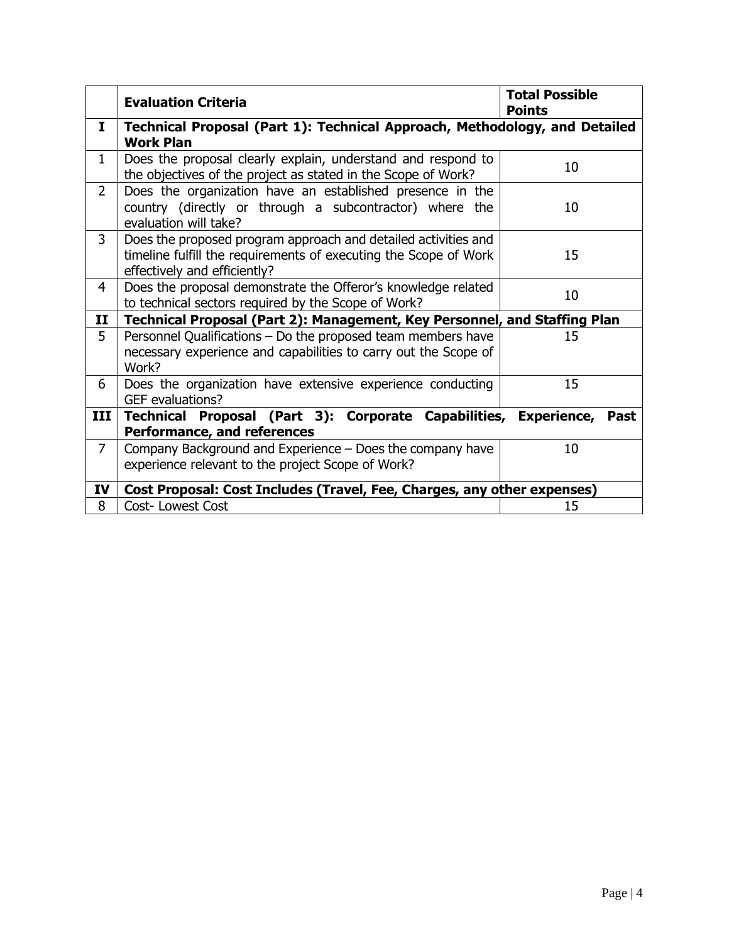|                | <b>Evaluation Criteria</b>                                                                                                                                         | <b>Total Possible</b><br><b>Points</b> |  |  |  |
|----------------|--------------------------------------------------------------------------------------------------------------------------------------------------------------------|----------------------------------------|--|--|--|
| 1              | Technical Proposal (Part 1): Technical Approach, Methodology, and Detailed<br><b>Work Plan</b>                                                                     |                                        |  |  |  |
| $\mathbf{1}$   | Does the proposal clearly explain, understand and respond to<br>the objectives of the project as stated in the Scope of Work?                                      | 10                                     |  |  |  |
| $\overline{2}$ | Does the organization have an established presence in the<br>country (directly or through a subcontractor) where the<br>evaluation will take?                      | 10                                     |  |  |  |
| 3              | Does the proposed program approach and detailed activities and<br>timeline fulfill the requirements of executing the Scope of Work<br>effectively and efficiently? | 15                                     |  |  |  |
| $\overline{4}$ | Does the proposal demonstrate the Offeror's knowledge related<br>to technical sectors required by the Scope of Work?                                               | 10                                     |  |  |  |
| $\mathbf{I}$   | Technical Proposal (Part 2): Management, Key Personnel, and Staffing Plan                                                                                          |                                        |  |  |  |
| 5              | Personnel Qualifications - Do the proposed team members have<br>necessary experience and capabilities to carry out the Scope of<br>Work?                           | 15                                     |  |  |  |
| 6              | Does the organization have extensive experience conducting<br>GEF evaluations?                                                                                     | 15                                     |  |  |  |
| III            | Technical Proposal (Part 3): Corporate Capabilities, Experience, Past<br>Performance, and references                                                               |                                        |  |  |  |
| $\overline{7}$ | Company Background and Experience – Does the company have<br>experience relevant to the project Scope of Work?                                                     | 10                                     |  |  |  |
| IV             | Cost Proposal: Cost Includes (Travel, Fee, Charges, any other expenses)                                                                                            |                                        |  |  |  |
| 8              | <b>Cost-Lowest Cost</b>                                                                                                                                            | 15                                     |  |  |  |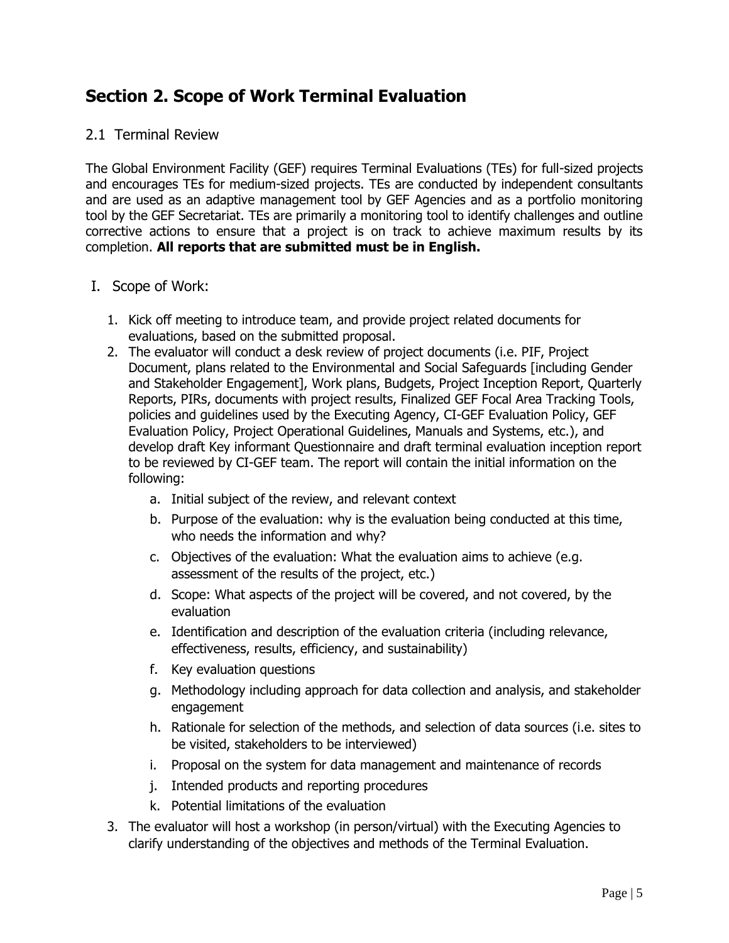# <span id="page-6-0"></span>**Section 2. Scope of Work Terminal Evaluation**

#### <span id="page-6-1"></span>2.1 Terminal Review

The Global Environment Facility (GEF) requires Terminal Evaluations (TEs) for full-sized projects and encourages TEs for medium-sized projects. TEs are conducted by independent consultants and are used as an adaptive management tool by GEF Agencies and as a portfolio monitoring tool by the GEF Secretariat. TEs are primarily a monitoring tool to identify challenges and outline corrective actions to ensure that a project is on track to achieve maximum results by its completion. **All reports that are submitted must be in English.** 

#### <span id="page-6-2"></span>I. Scope of Work:

- 1. Kick off meeting to introduce team, and provide project related documents for evaluations, based on the submitted proposal.
- 2. The evaluator will conduct a desk review of project documents (i.e. PIF, Project Document, plans related to the Environmental and Social Safeguards [including Gender and Stakeholder Engagement], Work plans, Budgets, Project Inception Report, Quarterly Reports, PIRs, documents with project results, Finalized GEF Focal Area Tracking Tools, policies and guidelines used by the Executing Agency, CI-GEF Evaluation Policy, GEF Evaluation Policy, Project Operational Guidelines, Manuals and Systems, etc.), and develop draft Key informant Questionnaire and draft terminal evaluation inception report to be reviewed by CI-GEF team. The report will contain the initial information on the following:
	- a. Initial subject of the review, and relevant context
	- b. Purpose of the evaluation: why is the evaluation being conducted at this time, who needs the information and why?
	- c. Objectives of the evaluation: What the evaluation aims to achieve (e.g. assessment of the results of the project, etc.)
	- d. Scope: What aspects of the project will be covered, and not covered, by the evaluation
	- e. Identification and description of the evaluation criteria (including relevance, effectiveness, results, efficiency, and sustainability)
	- f. Key evaluation questions
	- g. Methodology including approach for data collection and analysis, and stakeholder engagement
	- h. Rationale for selection of the methods, and selection of data sources (i.e. sites to be visited, stakeholders to be interviewed)
	- i. Proposal on the system for data management and maintenance of records
	- j. Intended products and reporting procedures
	- k. Potential limitations of the evaluation
- 3. The evaluator will host a workshop (in person/virtual) with the Executing Agencies to clarify understanding of the objectives and methods of the Terminal Evaluation.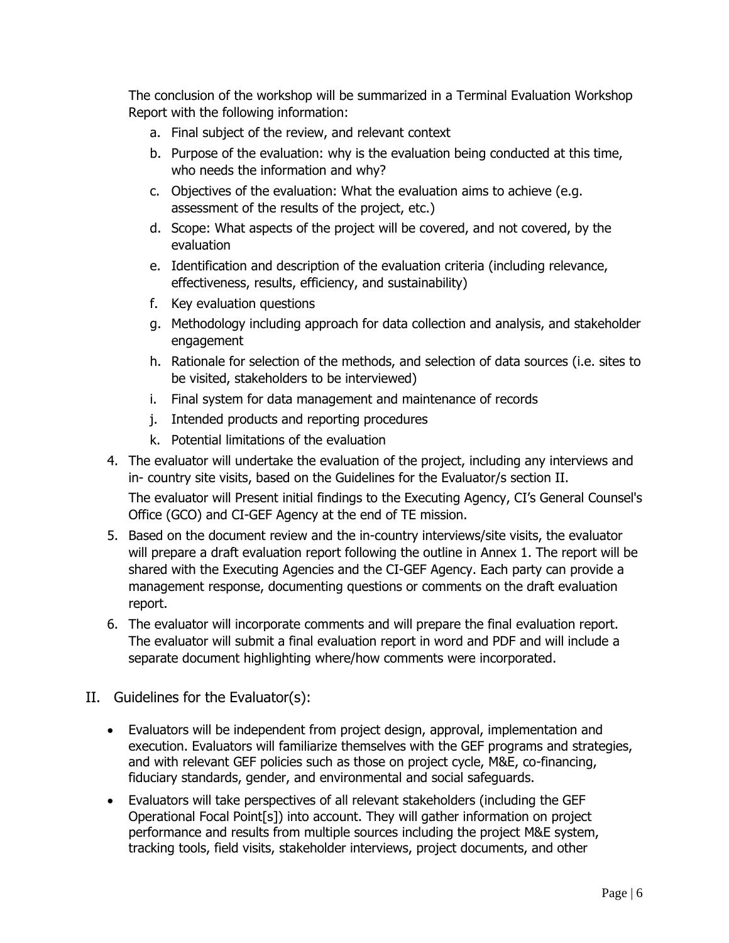The conclusion of the workshop will be summarized in a Terminal Evaluation Workshop Report with the following information:

- a. Final subject of the review, and relevant context
- b. Purpose of the evaluation: why is the evaluation being conducted at this time, who needs the information and why?
- c. Objectives of the evaluation: What the evaluation aims to achieve (e.g. assessment of the results of the project, etc.)
- d. Scope: What aspects of the project will be covered, and not covered, by the evaluation
- e. Identification and description of the evaluation criteria (including relevance, effectiveness, results, efficiency, and sustainability)
- f. Key evaluation questions
- g. Methodology including approach for data collection and analysis, and stakeholder engagement
- h. Rationale for selection of the methods, and selection of data sources (i.e. sites to be visited, stakeholders to be interviewed)
- i. Final system for data management and maintenance of records
- j. Intended products and reporting procedures
- k. Potential limitations of the evaluation
- 4. The evaluator will undertake the evaluation of the project, including any interviews and in- country site visits, based on the Guidelines for the Evaluator/s section II.

The evaluator will Present initial findings to the Executing Agency, CI's General Counsel's Office (GCO) and CI-GEF Agency at the end of TE mission.

- 5. Based on the document review and the in-country interviews/site visits, the evaluator will prepare a draft evaluation report following the outline in Annex 1. The report will be shared with the Executing Agencies and the CI-GEF Agency. Each party can provide a management response, documenting questions or comments on the draft evaluation report.
- 6. The evaluator will incorporate comments and will prepare the final evaluation report. The evaluator will submit a final evaluation report in word and PDF and will include a separate document highlighting where/how comments were incorporated.
- <span id="page-7-0"></span>II. Guidelines for the Evaluator(s):
	- Evaluators will be independent from project design, approval, implementation and execution. Evaluators will familiarize themselves with the GEF programs and strategies, and with relevant GEF policies such as those on project cycle, M&E, co-financing, fiduciary standards, gender, and environmental and social safeguards.
	- Evaluators will take perspectives of all relevant stakeholders (including the GEF Operational Focal Point[s]) into account. They will gather information on project performance and results from multiple sources including the project M&E system, tracking tools, field visits, stakeholder interviews, project documents, and other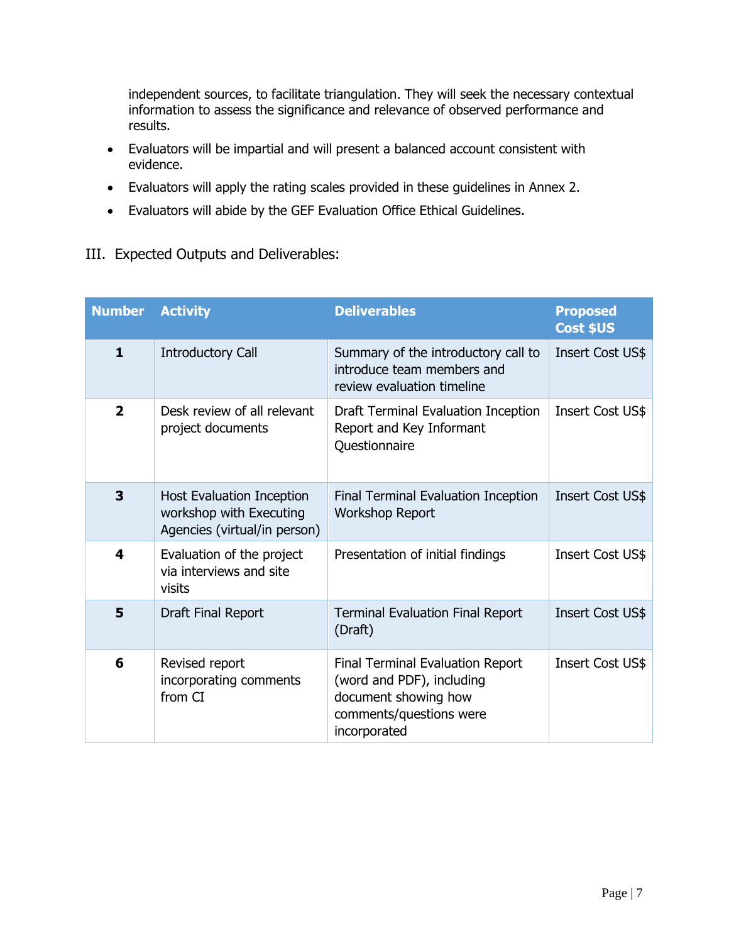independent sources, to facilitate triangulation. They will seek the necessary contextual information to assess the significance and relevance of observed performance and results.

- Evaluators will be impartial and will present a balanced account consistent with evidence.
- Evaluators will apply the rating scales provided in these guidelines in Annex 2.
- Evaluators will abide by the GEF Evaluation Office Ethical Guidelines.
- <span id="page-8-0"></span>III. Expected Outputs and Deliverables:

| <b>Number</b>           | <b>Activity</b>                                                                             | <b>Deliverables</b>                                                                                                              | <b>Proposed</b><br>Cost \$US |
|-------------------------|---------------------------------------------------------------------------------------------|----------------------------------------------------------------------------------------------------------------------------------|------------------------------|
| $\mathbf{1}$            | <b>Introductory Call</b>                                                                    | Summary of the introductory call to<br>introduce team members and<br>review evaluation timeline                                  | Insert Cost US\$             |
| $\overline{\mathbf{2}}$ | Desk review of all relevant<br>project documents                                            | Draft Terminal Evaluation Inception<br>Report and Key Informant<br>Questionnaire                                                 | Insert Cost US\$             |
| 3                       | <b>Host Evaluation Inception</b><br>workshop with Executing<br>Agencies (virtual/in person) | Final Terminal Evaluation Inception<br><b>Workshop Report</b>                                                                    | Insert Cost US\$             |
| 4                       | Evaluation of the project<br>via interviews and site<br>visits                              | Presentation of initial findings                                                                                                 | <b>Insert Cost US\$</b>      |
| 5                       | Draft Final Report                                                                          | <b>Terminal Evaluation Final Report</b><br>(Draft)                                                                               | Insert Cost US\$             |
| 6                       | Revised report<br>incorporating comments<br>from CI                                         | Final Terminal Evaluation Report<br>(word and PDF), including<br>document showing how<br>comments/questions were<br>incorporated | <b>Insert Cost US\$</b>      |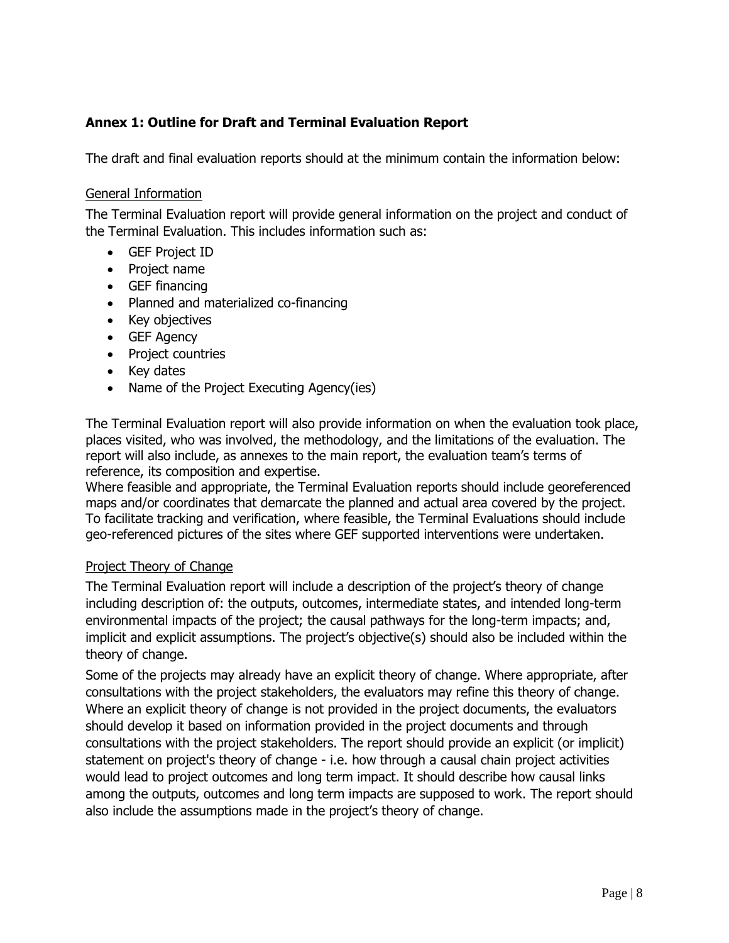### <span id="page-9-0"></span>**Annex 1: Outline for Draft and Terminal Evaluation Report**

The draft and final evaluation reports should at the minimum contain the information below:

#### General Information

The Terminal Evaluation report will provide general information on the project and conduct of the Terminal Evaluation. This includes information such as:

- GEF Project ID
- Project name
- GEF financing
- Planned and materialized co-financing
- Key objectives
- GEF Agency
- Project countries
- Key dates
- Name of the Project Executing Agency(ies)

The Terminal Evaluation report will also provide information on when the evaluation took place, places visited, who was involved, the methodology, and the limitations of the evaluation. The report will also include, as annexes to the main report, the evaluation team's terms of reference, its composition and expertise.

Where feasible and appropriate, the Terminal Evaluation reports should include georeferenced maps and/or coordinates that demarcate the planned and actual area covered by the project. To facilitate tracking and verification, where feasible, the Terminal Evaluations should include geo-referenced pictures of the sites where GEF supported interventions were undertaken.

#### Project Theory of Change

The Terminal Evaluation report will include a description of the project's theory of change including description of: the outputs, outcomes, intermediate states, and intended long-term environmental impacts of the project; the causal pathways for the long-term impacts; and, implicit and explicit assumptions. The project's objective(s) should also be included within the theory of change.

Some of the projects may already have an explicit theory of change. Where appropriate, after consultations with the project stakeholders, the evaluators may refine this theory of change. Where an explicit theory of change is not provided in the project documents, the evaluators should develop it based on information provided in the project documents and through consultations with the project stakeholders. The report should provide an explicit (or implicit) statement on project's theory of change - i.e. how through a causal chain project activities would lead to project outcomes and long term impact. It should describe how causal links among the outputs, outcomes and long term impacts are supposed to work. The report should also include the assumptions made in the project's theory of change.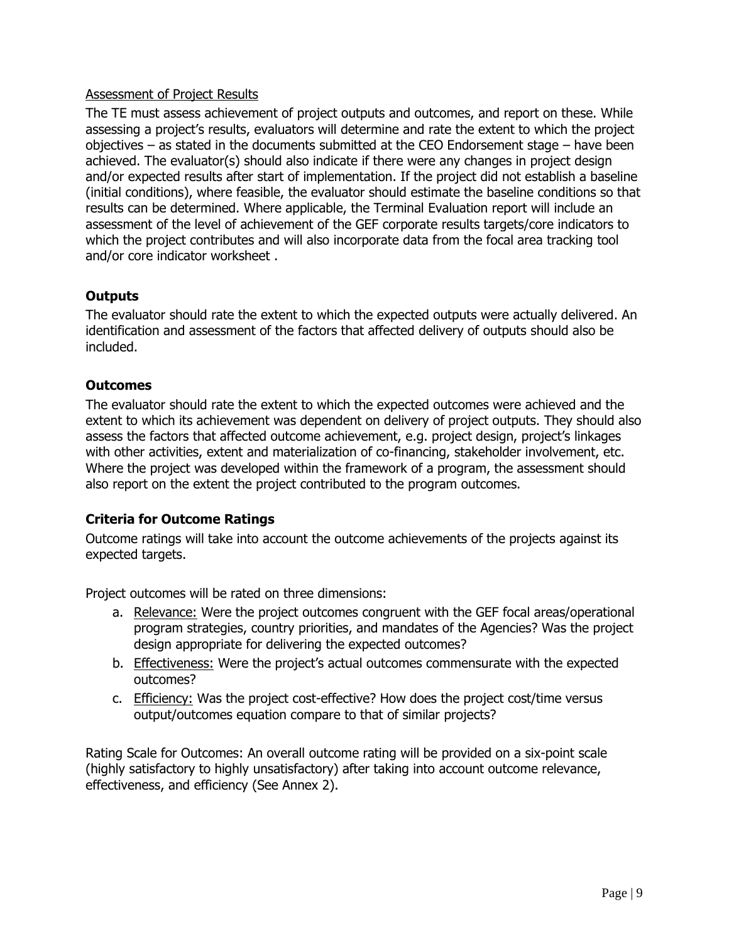#### Assessment of Project Results

The TE must assess achievement of project outputs and outcomes, and report on these. While assessing a project's results, evaluators will determine and rate the extent to which the project objectives – as stated in the documents submitted at the CEO Endorsement stage – have been achieved. The evaluator(s) should also indicate if there were any changes in project design and/or expected results after start of implementation. If the project did not establish a baseline (initial conditions), where feasible, the evaluator should estimate the baseline conditions so that results can be determined. Where applicable, the Terminal Evaluation report will include an assessment of the level of achievement of the GEF corporate results targets/core indicators to which the project contributes and will also incorporate data from the focal area tracking tool and/or core indicator worksheet .

#### **Outputs**

The evaluator should rate the extent to which the expected outputs were actually delivered. An identification and assessment of the factors that affected delivery of outputs should also be included.

#### **Outcomes**

The evaluator should rate the extent to which the expected outcomes were achieved and the extent to which its achievement was dependent on delivery of project outputs. They should also assess the factors that affected outcome achievement, e.g. project design, project's linkages with other activities, extent and materialization of co-financing, stakeholder involvement, etc. Where the project was developed within the framework of a program, the assessment should also report on the extent the project contributed to the program outcomes.

#### **Criteria for Outcome Ratings**

Outcome ratings will take into account the outcome achievements of the projects against its expected targets.

Project outcomes will be rated on three dimensions:

- a. Relevance: Were the project outcomes congruent with the GEF focal areas/operational program strategies, country priorities, and mandates of the Agencies? Was the project design appropriate for delivering the expected outcomes?
- b. Effectiveness: Were the project's actual outcomes commensurate with the expected outcomes?
- c. Efficiency: Was the project cost-effective? How does the project cost/time versus output/outcomes equation compare to that of similar projects?

Rating Scale for Outcomes: An overall outcome rating will be provided on a six-point scale (highly satisfactory to highly unsatisfactory) after taking into account outcome relevance, effectiveness, and efficiency (See Annex 2).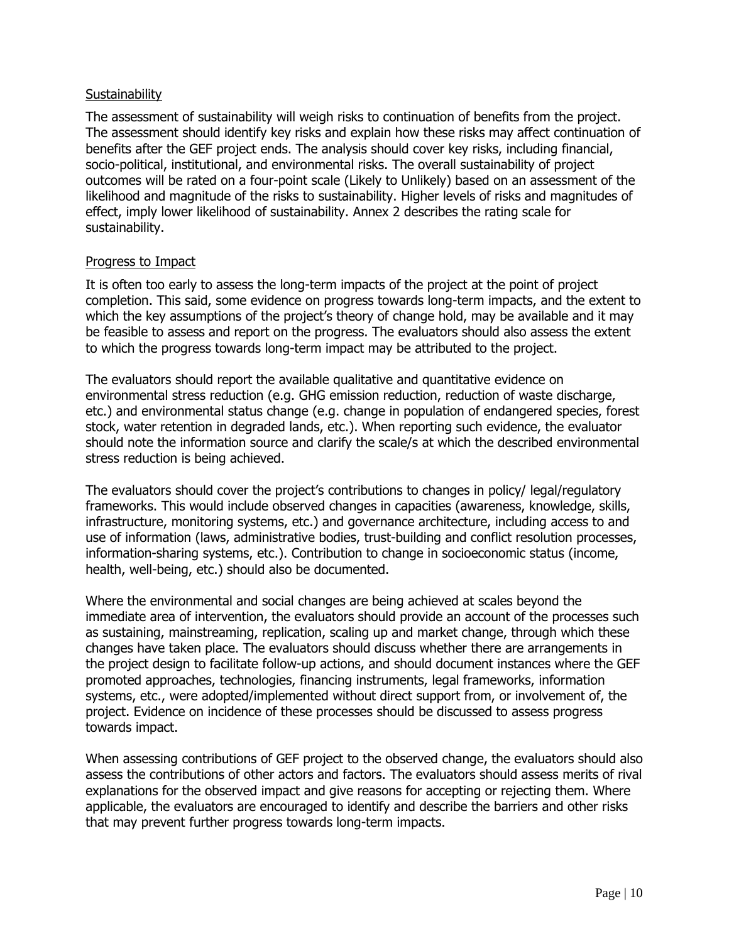#### **Sustainability**

The assessment of sustainability will weigh risks to continuation of benefits from the project. The assessment should identify key risks and explain how these risks may affect continuation of benefits after the GEF project ends. The analysis should cover key risks, including financial, socio-political, institutional, and environmental risks. The overall sustainability of project outcomes will be rated on a four-point scale (Likely to Unlikely) based on an assessment of the likelihood and magnitude of the risks to sustainability. Higher levels of risks and magnitudes of effect, imply lower likelihood of sustainability. Annex 2 describes the rating scale for sustainability.

#### Progress to Impact

It is often too early to assess the long-term impacts of the project at the point of project completion. This said, some evidence on progress towards long-term impacts, and the extent to which the key assumptions of the project's theory of change hold, may be available and it may be feasible to assess and report on the progress. The evaluators should also assess the extent to which the progress towards long-term impact may be attributed to the project.

The evaluators should report the available qualitative and quantitative evidence on environmental stress reduction (e.g. GHG emission reduction, reduction of waste discharge, etc.) and environmental status change (e.g. change in population of endangered species, forest stock, water retention in degraded lands, etc.). When reporting such evidence, the evaluator should note the information source and clarify the scale/s at which the described environmental stress reduction is being achieved.

The evaluators should cover the project's contributions to changes in policy/ legal/regulatory frameworks. This would include observed changes in capacities (awareness, knowledge, skills, infrastructure, monitoring systems, etc.) and governance architecture, including access to and use of information (laws, administrative bodies, trust-building and conflict resolution processes, information-sharing systems, etc.). Contribution to change in socioeconomic status (income, health, well-being, etc.) should also be documented.

Where the environmental and social changes are being achieved at scales beyond the immediate area of intervention, the evaluators should provide an account of the processes such as sustaining, mainstreaming, replication, scaling up and market change, through which these changes have taken place. The evaluators should discuss whether there are arrangements in the project design to facilitate follow-up actions, and should document instances where the GEF promoted approaches, technologies, financing instruments, legal frameworks, information systems, etc., were adopted/implemented without direct support from, or involvement of, the project. Evidence on incidence of these processes should be discussed to assess progress towards impact.

When assessing contributions of GEF project to the observed change, the evaluators should also assess the contributions of other actors and factors. The evaluators should assess merits of rival explanations for the observed impact and give reasons for accepting or rejecting them. Where applicable, the evaluators are encouraged to identify and describe the barriers and other risks that may prevent further progress towards long-term impacts.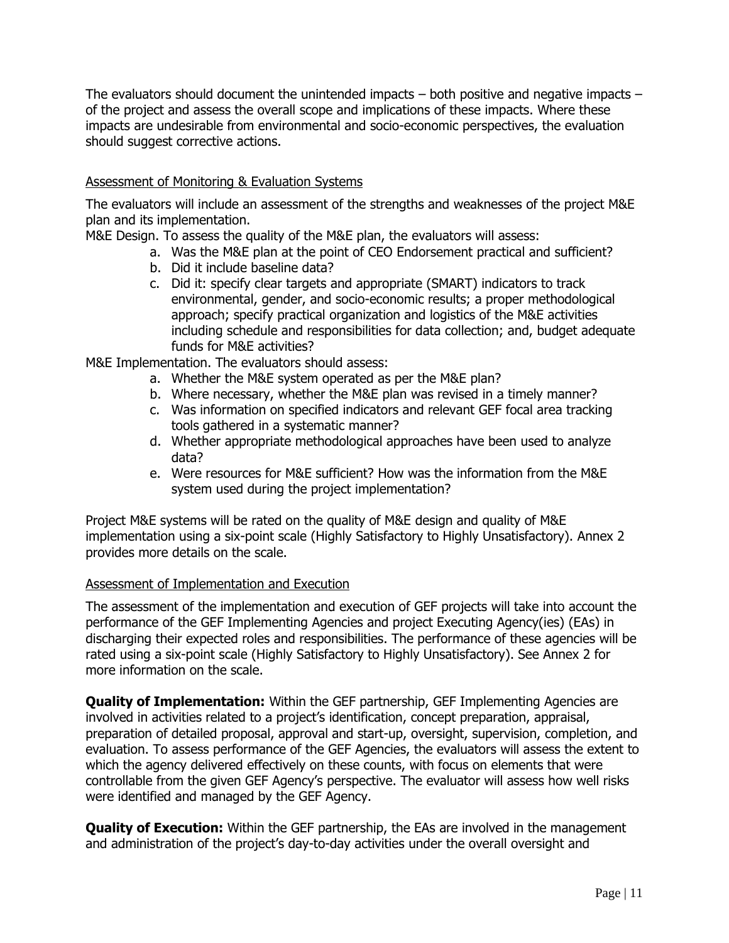The evaluators should document the unintended impacts – both positive and negative impacts – of the project and assess the overall scope and implications of these impacts. Where these impacts are undesirable from environmental and socio-economic perspectives, the evaluation should suggest corrective actions.

#### Assessment of Monitoring & Evaluation Systems

The evaluators will include an assessment of the strengths and weaknesses of the project M&E plan and its implementation.

M&E Design. To assess the quality of the M&E plan, the evaluators will assess:

- a. Was the M&E plan at the point of CEO Endorsement practical and sufficient?
- b. Did it include baseline data?
- c. Did it: specify clear targets and appropriate (SMART) indicators to track environmental, gender, and socio-economic results; a proper methodological approach; specify practical organization and logistics of the M&E activities including schedule and responsibilities for data collection; and, budget adequate funds for M&E activities?

M&E Implementation. The evaluators should assess:

- a. Whether the M&E system operated as per the M&E plan?
- b. Where necessary, whether the M&E plan was revised in a timely manner?
- c. Was information on specified indicators and relevant GEF focal area tracking tools gathered in a systematic manner?
- d. Whether appropriate methodological approaches have been used to analyze data?
- e. Were resources for M&E sufficient? How was the information from the M&E system used during the project implementation?

Project M&E systems will be rated on the quality of M&E design and quality of M&E implementation using a six-point scale (Highly Satisfactory to Highly Unsatisfactory). Annex 2 provides more details on the scale.

#### Assessment of Implementation and Execution

The assessment of the implementation and execution of GEF projects will take into account the performance of the GEF Implementing Agencies and project Executing Agency(ies) (EAs) in discharging their expected roles and responsibilities. The performance of these agencies will be rated using a six-point scale (Highly Satisfactory to Highly Unsatisfactory). See Annex 2 for more information on the scale.

**Quality of Implementation:** Within the GEF partnership, GEF Implementing Agencies are involved in activities related to a project's identification, concept preparation, appraisal, preparation of detailed proposal, approval and start-up, oversight, supervision, completion, and evaluation. To assess performance of the GEF Agencies, the evaluators will assess the extent to which the agency delivered effectively on these counts, with focus on elements that were controllable from the given GEF Agency's perspective. The evaluator will assess how well risks were identified and managed by the GEF Agency.

**Quality of Execution:** Within the GEF partnership, the EAs are involved in the management and administration of the project's day-to-day activities under the overall oversight and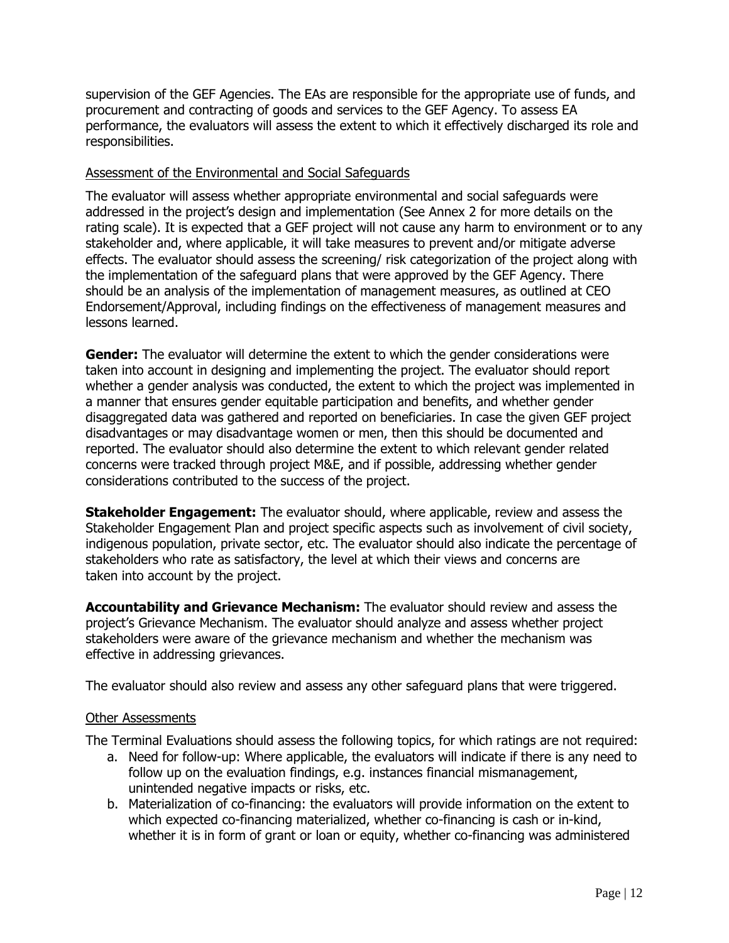supervision of the GEF Agencies. The EAs are responsible for the appropriate use of funds, and procurement and contracting of goods and services to the GEF Agency. To assess EA performance, the evaluators will assess the extent to which it effectively discharged its role and responsibilities.

#### Assessment of the Environmental and Social Safeguards

The evaluator will assess whether appropriate environmental and social safeguards were addressed in the project's design and implementation (See Annex 2 for more details on the rating scale). It is expected that a GEF project will not cause any harm to environment or to any stakeholder and, where applicable, it will take measures to prevent and/or mitigate adverse effects. The evaluator should assess the screening/ risk categorization of the project along with the implementation of the safeguard plans that were approved by the GEF Agency. There should be an analysis of the implementation of management measures, as outlined at CEO Endorsement/Approval, including findings on the effectiveness of management measures and lessons learned.

**Gender:** The evaluator will determine the extent to which the gender considerations were taken into account in designing and implementing the project. The evaluator should report whether a gender analysis was conducted, the extent to which the project was implemented in a manner that ensures gender equitable participation and benefits, and whether gender disaggregated data was gathered and reported on beneficiaries. In case the given GEF project disadvantages or may disadvantage women or men, then this should be documented and reported. The evaluator should also determine the extent to which relevant gender related concerns were tracked through project M&E, and if possible, addressing whether gender considerations contributed to the success of the project.

**Stakeholder Engagement:** The evaluator should, where applicable, review and assess the Stakeholder Engagement Plan and project specific aspects such as involvement of civil society, indigenous population, private sector, etc. The evaluator should also indicate the percentage of stakeholders who rate as satisfactory, the level at which their views and concerns are taken into account by the project.

**Accountability and Grievance Mechanism:** The evaluator should review and assess the project's Grievance Mechanism. The evaluator should analyze and assess whether project stakeholders were aware of the grievance mechanism and whether the mechanism was effective in addressing grievances.

The evaluator should also review and assess any other safeguard plans that were triggered.

#### Other Assessments

The Terminal Evaluations should assess the following topics, for which ratings are not required:

- a. Need for follow-up: Where applicable, the evaluators will indicate if there is any need to follow up on the evaluation findings, e.g. instances financial mismanagement, unintended negative impacts or risks, etc.
- b. Materialization of co-financing: the evaluators will provide information on the extent to which expected co-financing materialized, whether co-financing is cash or in-kind, whether it is in form of grant or loan or equity, whether co-financing was administered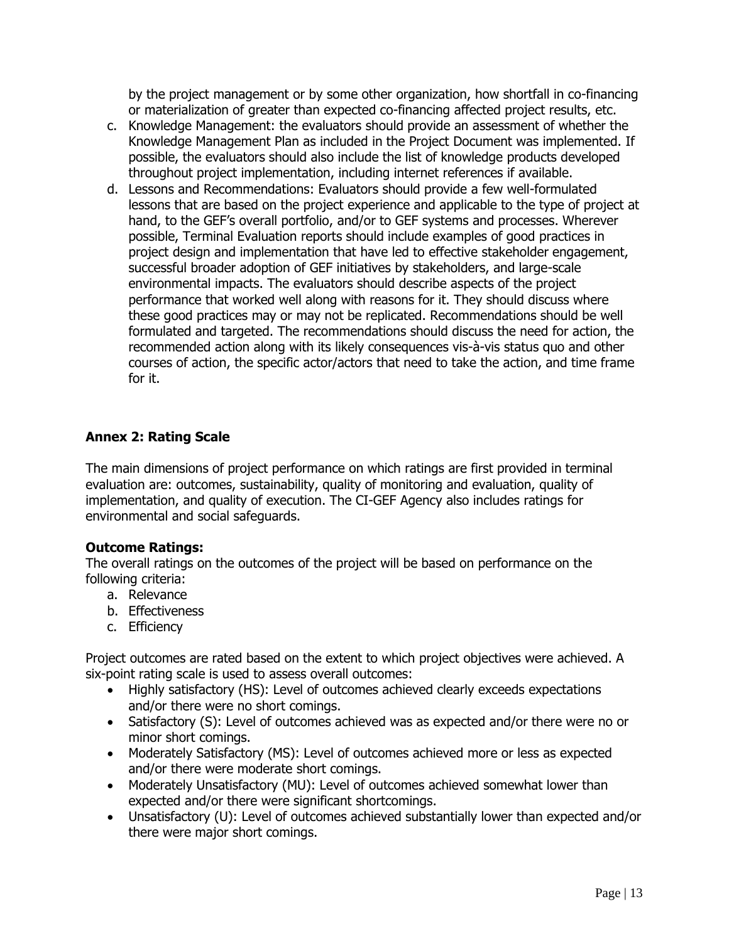by the project management or by some other organization, how shortfall in co-financing or materialization of greater than expected co-financing affected project results, etc.

- c. Knowledge Management: the evaluators should provide an assessment of whether the Knowledge Management Plan as included in the Project Document was implemented. If possible, the evaluators should also include the list of knowledge products developed throughout project implementation, including internet references if available.
- d. Lessons and Recommendations: Evaluators should provide a few well-formulated lessons that are based on the project experience and applicable to the type of project at hand, to the GEF's overall portfolio, and/or to GEF systems and processes. Wherever possible, Terminal Evaluation reports should include examples of good practices in project design and implementation that have led to effective stakeholder engagement, successful broader adoption of GEF initiatives by stakeholders, and large-scale environmental impacts. The evaluators should describe aspects of the project performance that worked well along with reasons for it. They should discuss where these good practices may or may not be replicated. Recommendations should be well formulated and targeted. The recommendations should discuss the need for action, the recommended action along with its likely consequences vis-à-vis status quo and other courses of action, the specific actor/actors that need to take the action, and time frame for it.

#### <span id="page-14-0"></span>**Annex 2: Rating Scale**

The main dimensions of project performance on which ratings are first provided in terminal evaluation are: outcomes, sustainability, quality of monitoring and evaluation, quality of implementation, and quality of execution. The CI-GEF Agency also includes ratings for environmental and social safeguards.

#### **Outcome Ratings:**

The overall ratings on the outcomes of the project will be based on performance on the following criteria:

- a. Relevance
- b. Effectiveness
- c. Efficiency

Project outcomes are rated based on the extent to which project objectives were achieved. A six-point rating scale is used to assess overall outcomes:

- Highly satisfactory (HS): Level of outcomes achieved clearly exceeds expectations and/or there were no short comings.
- Satisfactory (S): Level of outcomes achieved was as expected and/or there were no or minor short comings.
- Moderately Satisfactory (MS): Level of outcomes achieved more or less as expected and/or there were moderate short comings.
- Moderately Unsatisfactory (MU): Level of outcomes achieved somewhat lower than expected and/or there were significant shortcomings.
- Unsatisfactory (U): Level of outcomes achieved substantially lower than expected and/or there were major short comings.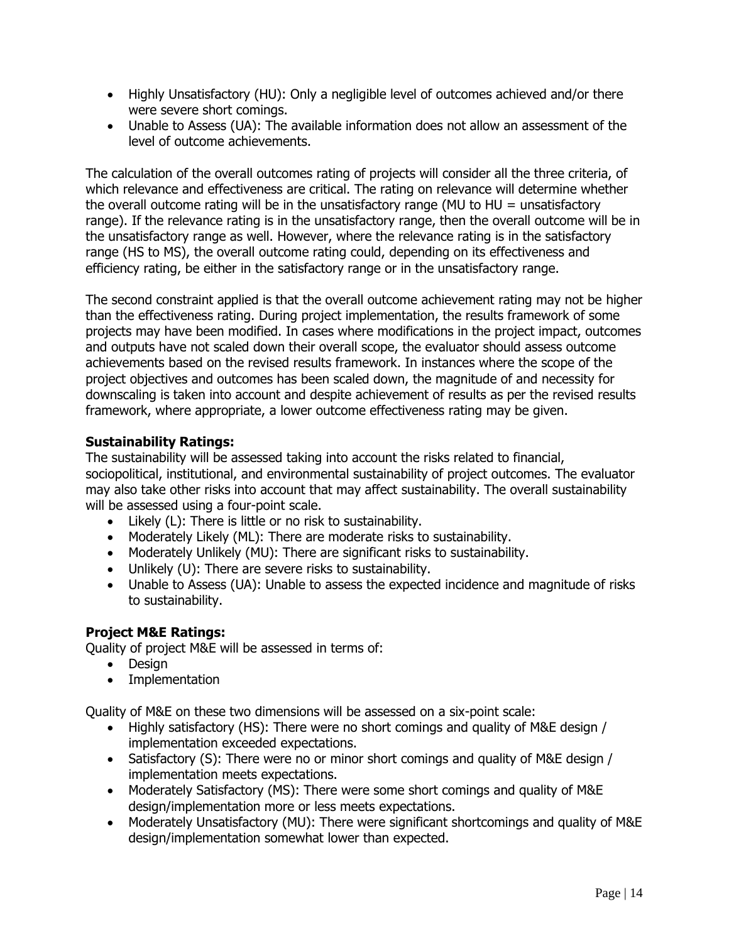- Highly Unsatisfactory (HU): Only a negligible level of outcomes achieved and/or there were severe short comings.
- Unable to Assess (UA): The available information does not allow an assessment of the level of outcome achievements.

The calculation of the overall outcomes rating of projects will consider all the three criteria, of which relevance and effectiveness are critical. The rating on relevance will determine whether the overall outcome rating will be in the unsatisfactory range (MU to HU = unsatisfactory range). If the relevance rating is in the unsatisfactory range, then the overall outcome will be in the unsatisfactory range as well. However, where the relevance rating is in the satisfactory range (HS to MS), the overall outcome rating could, depending on its effectiveness and efficiency rating, be either in the satisfactory range or in the unsatisfactory range.

The second constraint applied is that the overall outcome achievement rating may not be higher than the effectiveness rating. During project implementation, the results framework of some projects may have been modified. In cases where modifications in the project impact, outcomes and outputs have not scaled down their overall scope, the evaluator should assess outcome achievements based on the revised results framework. In instances where the scope of the project objectives and outcomes has been scaled down, the magnitude of and necessity for downscaling is taken into account and despite achievement of results as per the revised results framework, where appropriate, a lower outcome effectiveness rating may be given.

#### **Sustainability Ratings:**

The sustainability will be assessed taking into account the risks related to financial, sociopolitical, institutional, and environmental sustainability of project outcomes. The evaluator may also take other risks into account that may affect sustainability. The overall sustainability will be assessed using a four-point scale.

- Likely (L): There is little or no risk to sustainability.
- Moderately Likely (ML): There are moderate risks to sustainability.
- Moderately Unlikely (MU): There are significant risks to sustainability.
- Unlikely (U): There are severe risks to sustainability.
- Unable to Assess (UA): Unable to assess the expected incidence and magnitude of risks to sustainability.

## **Project M&E Ratings:**

Quality of project M&E will be assessed in terms of:

- Design
- Implementation

Quality of M&E on these two dimensions will be assessed on a six-point scale:

- Highly satisfactory (HS): There were no short comings and quality of M&E design / implementation exceeded expectations.
- Satisfactory (S): There were no or minor short comings and quality of M&E design / implementation meets expectations.
- Moderately Satisfactory (MS): There were some short comings and quality of M&E design/implementation more or less meets expectations.
- Moderately Unsatisfactory (MU): There were significant shortcomings and quality of M&E design/implementation somewhat lower than expected.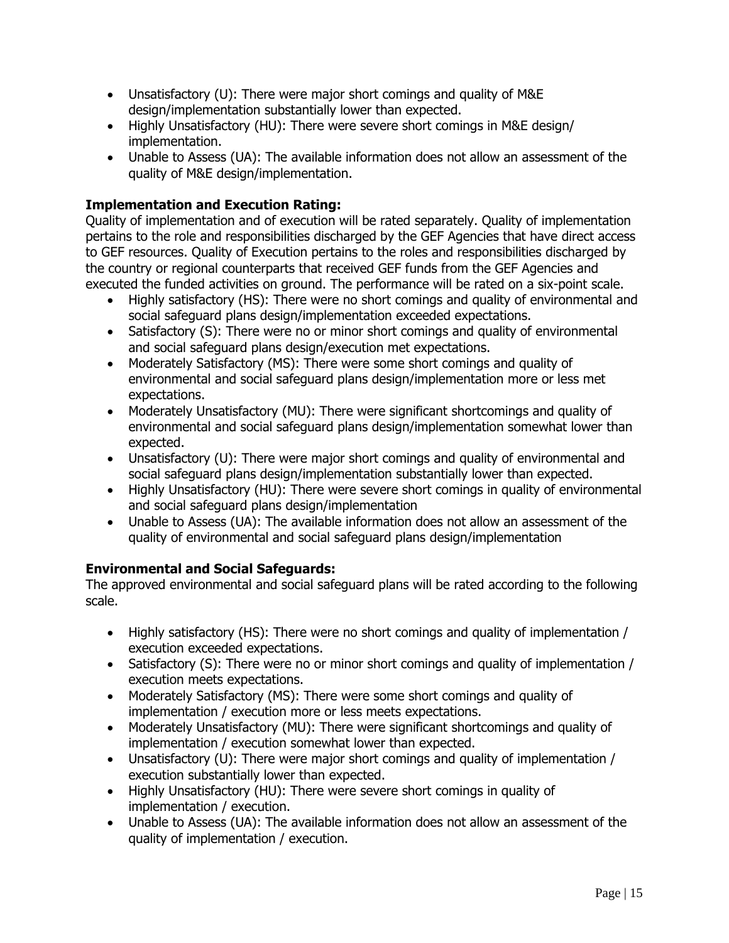- Unsatisfactory (U): There were major short comings and quality of M&E design/implementation substantially lower than expected.
- Highly Unsatisfactory (HU): There were severe short comings in M&E design/ implementation.
- Unable to Assess (UA): The available information does not allow an assessment of the quality of M&E design/implementation.

## **Implementation and Execution Rating:**

Quality of implementation and of execution will be rated separately. Quality of implementation pertains to the role and responsibilities discharged by the GEF Agencies that have direct access to GEF resources. Quality of Execution pertains to the roles and responsibilities discharged by the country or regional counterparts that received GEF funds from the GEF Agencies and executed the funded activities on ground. The performance will be rated on a six-point scale.

- Highly satisfactory (HS): There were no short comings and quality of environmental and social safeguard plans design/implementation exceeded expectations.
- Satisfactory (S): There were no or minor short comings and quality of environmental and social safeguard plans design/execution met expectations.
- Moderately Satisfactory (MS): There were some short comings and quality of environmental and social safeguard plans design/implementation more or less met expectations.
- Moderately Unsatisfactory (MU): There were significant shortcomings and quality of environmental and social safeguard plans design/implementation somewhat lower than expected.
- Unsatisfactory (U): There were major short comings and quality of environmental and social safeguard plans design/implementation substantially lower than expected.
- Highly Unsatisfactory (HU): There were severe short comings in quality of environmental and social safeguard plans design/implementation
- Unable to Assess (UA): The available information does not allow an assessment of the quality of environmental and social safeguard plans design/implementation

#### **Environmental and Social Safeguards:**

The approved environmental and social safeguard plans will be rated according to the following scale.

- Highly satisfactory (HS): There were no short comings and quality of implementation / execution exceeded expectations.
- Satisfactory (S): There were no or minor short comings and quality of implementation / execution meets expectations.
- Moderately Satisfactory (MS): There were some short comings and quality of implementation / execution more or less meets expectations.
- Moderately Unsatisfactory (MU): There were significant shortcomings and quality of implementation / execution somewhat lower than expected.
- Unsatisfactory (U): There were major short comings and quality of implementation / execution substantially lower than expected.
- Highly Unsatisfactory (HU): There were severe short comings in quality of implementation / execution.
- Unable to Assess (UA): The available information does not allow an assessment of the quality of implementation / execution.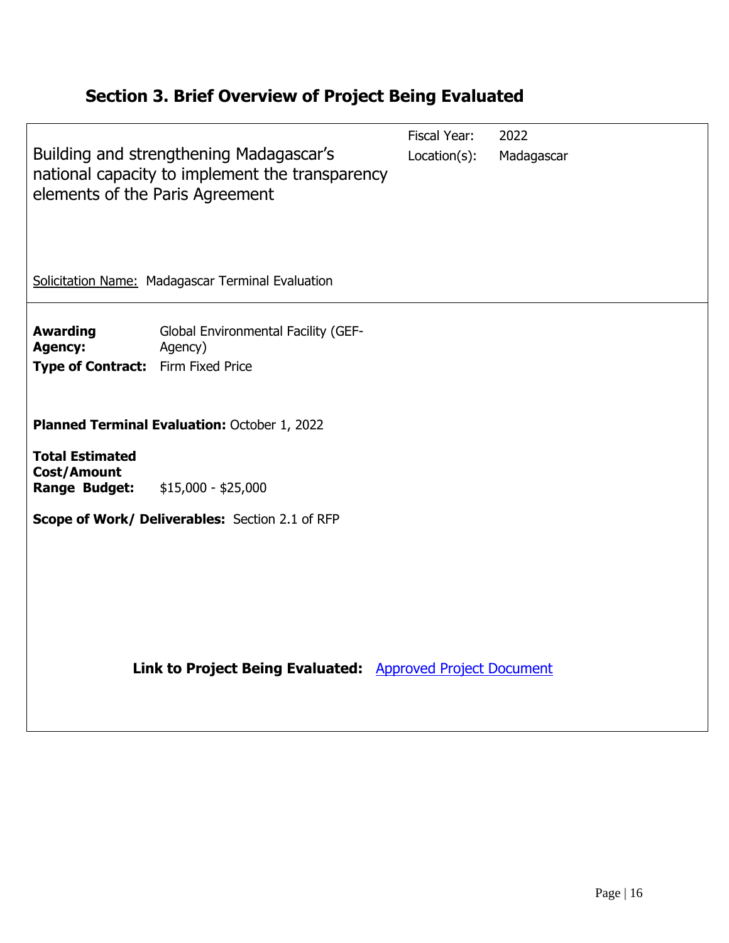# <span id="page-17-0"></span>**Section 3. Brief Overview of Project Being Evaluated**

| Building and strengthening Madagascar's<br>elements of the Paris Agreement           |  | 2022                                            | Madagascar                                                                                 |  |  |  |  |  |
|--------------------------------------------------------------------------------------|--|-------------------------------------------------|--------------------------------------------------------------------------------------------|--|--|--|--|--|
| Solicitation Name: Madagascar Terminal Evaluation                                    |  |                                                 |                                                                                            |  |  |  |  |  |
| Global Environmental Facility (GEF-<br>Agency)<br>Type of Contract: Firm Fixed Price |  |                                                 |                                                                                            |  |  |  |  |  |
| Planned Terminal Evaluation: October 1, 2022                                         |  |                                                 |                                                                                            |  |  |  |  |  |
| $$15,000 - $25,000$                                                                  |  |                                                 |                                                                                            |  |  |  |  |  |
| Scope of Work/ Deliverables: Section 2.1 of RFP                                      |  |                                                 |                                                                                            |  |  |  |  |  |
|                                                                                      |  |                                                 |                                                                                            |  |  |  |  |  |
|                                                                                      |  |                                                 |                                                                                            |  |  |  |  |  |
|                                                                                      |  | national capacity to implement the transparency | Fiscal Year:<br>Location(s):<br>Link to Project Being Evaluated: Approved Project Document |  |  |  |  |  |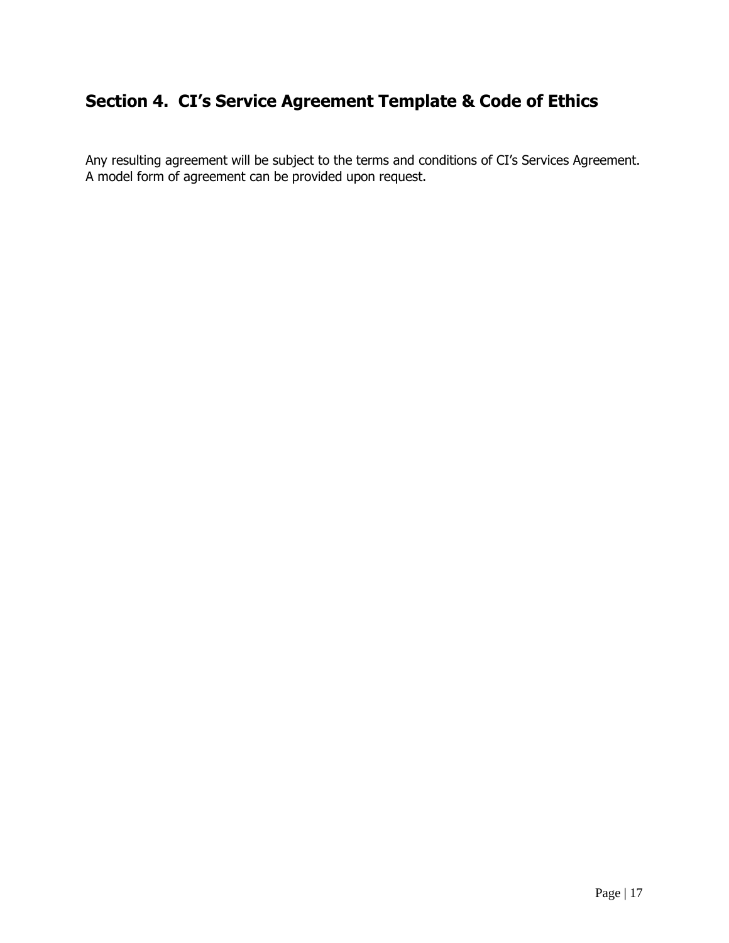# <span id="page-18-0"></span>**Section 4. CI's Service Agreement Template & Code of Ethics**

Any resulting agreement will be subject to the terms and conditions of CI's Services Agreement. A model form of agreement can be provided upon request.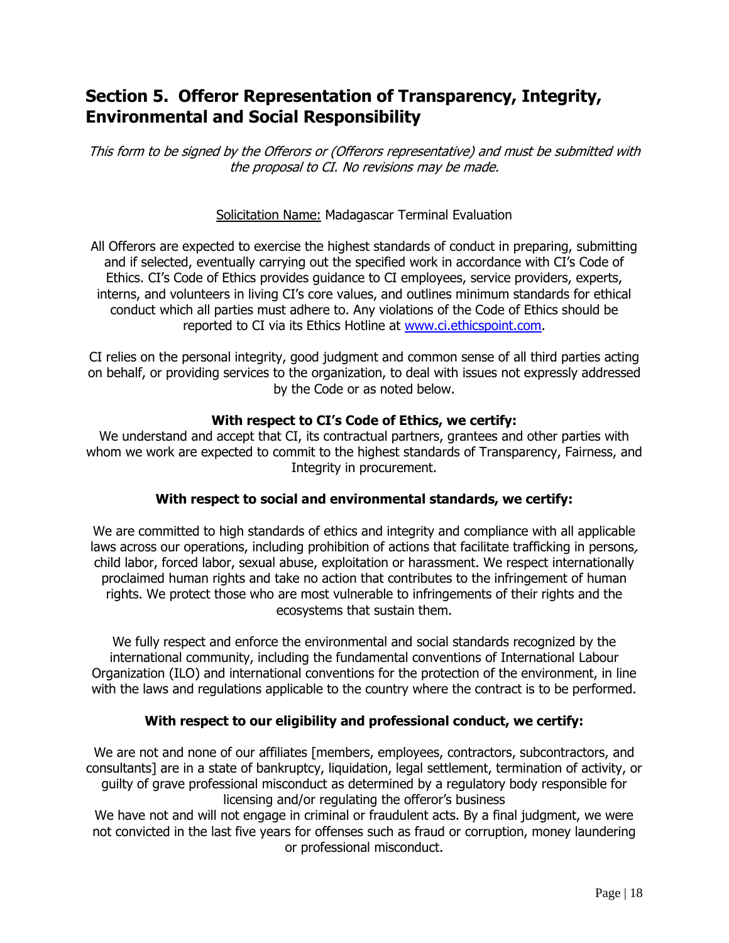## <span id="page-19-0"></span>**Section 5. Offeror Representation of Transparency, Integrity, Environmental and Social Responsibility**

This form to be signed by the Offerors or (Offerors representative) and must be submitted with the proposal to CI. No revisions may be made.

#### Solicitation Name: Madagascar Terminal Evaluation

All Offerors are expected to exercise the highest standards of conduct in preparing, submitting and if selected, eventually carrying out the specified work in accordance with CI's Code of Ethics. CI's Code of Ethics provides guidance to CI employees, service providers, experts, interns, and volunteers in living CI's core values, and outlines minimum standards for ethical conduct which all parties must adhere to. Any violations of the Code of Ethics should be reported to CI via its Ethics Hotline at [www.ci.ethicspoint.com.](http://www.ci.ethicspoint.com/)

CI relies on the personal integrity, good judgment and common sense of all third parties acting on behalf, or providing services to the organization, to deal with issues not expressly addressed by the Code or as noted below.

#### **With respect to CI's Code of Ethics, we certify:**

We understand and accept that CI, its contractual partners, grantees and other parties with whom we work are expected to commit to the highest standards of Transparency, Fairness, and Integrity in procurement.

#### **With respect to social and environmental standards, we certify:**

We are committed to high standards of ethics and integrity and compliance with all applicable laws across our operations, including prohibition of actions that facilitate trafficking in persons, child labor, forced labor, sexual abuse, exploitation or harassment. We respect internationally proclaimed human rights and take no action that contributes to the infringement of human rights. We protect those who are most vulnerable to infringements of their rights and the ecosystems that sustain them.

We fully respect and enforce the environmental and social standards recognized by the international community, including the fundamental conventions of International Labour Organization (ILO) and international conventions for the protection of the environment, in line with the laws and regulations applicable to the country where the contract is to be performed.

#### **With respect to our eligibility and professional conduct, we certify:**

We are not and none of our affiliates [members, employees, contractors, subcontractors, and consultants] are in a state of bankruptcy, liquidation, legal settlement, termination of activity, or guilty of grave professional misconduct as determined by a regulatory body responsible for licensing and/or regulating the offeror's business

We have not and will not engage in criminal or fraudulent acts. By a final judgment, we were not convicted in the last five years for offenses such as fraud or corruption, money laundering or professional misconduct.